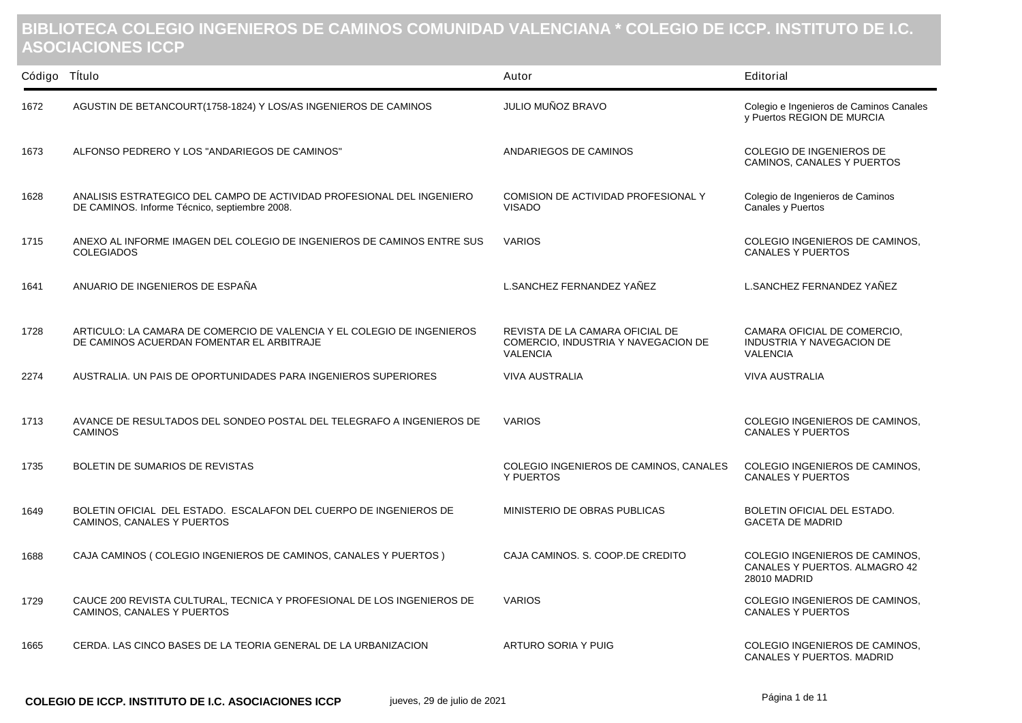## **BIBLIOTECA COLEGIO INGENIEROS DE CAMINOS COMUNIDAD VALENCIANA \* COLEGIO DE ICCP. INSTITUTO DE I.C. ASOCIACIONES ICCP**

| Código Título |                                                                                                                        | Autor                                                                                     | Editorial                                                                              |
|---------------|------------------------------------------------------------------------------------------------------------------------|-------------------------------------------------------------------------------------------|----------------------------------------------------------------------------------------|
| 1672          | AGUSTIN DE BETANCOURT(1758-1824) Y LOS/AS INGENIEROS DE CAMINOS                                                        | JULIO MUÑOZ BRAVO                                                                         | Colegio e Ingenieros de Caminos Canales<br>y Puertos REGION DE MURCIA                  |
| 1673          | ALFONSO PEDRERO Y LOS "ANDARIEGOS DE CAMINOS"                                                                          | ANDARIEGOS DE CAMINOS                                                                     | COLEGIO DE INGENIEROS DE<br>CAMINOS, CANALES Y PUERTOS                                 |
| 1628          | ANALISIS ESTRATEGICO DEL CAMPO DE ACTIVIDAD PROFESIONAL DEL INGENIERO<br>DE CAMINOS. Informe Técnico, septiembre 2008. | COMISION DE ACTIVIDAD PROFESIONAL Y<br><b>VISADO</b>                                      | Colegio de Ingenieros de Caminos<br>Canales y Puertos                                  |
| 1715          | ANEXO AL INFORME IMAGEN DEL COLEGIO DE INGENIEROS DE CAMINOS ENTRE SUS<br><b>COLEGIADOS</b>                            | <b>VARIOS</b>                                                                             | COLEGIO INGENIEROS DE CAMINOS,<br><b>CANALES Y PUERTOS</b>                             |
| 1641          | ANUARIO DE INGENIEROS DE ESPAÑA                                                                                        | L.SANCHEZ FERNANDEZ YAÑEZ                                                                 | L.SANCHEZ FERNANDEZ YAÑEZ                                                              |
| 1728          | ARTICULO: LA CAMARA DE COMERCIO DE VALENCIA Y EL COLEGIO DE INGENIEROS<br>DE CAMINOS ACUERDAN FOMENTAR EL ARBITRAJE    | REVISTA DE LA CAMARA OFICIAL DE<br>COMERCIO, INDUSTRIA Y NAVEGACION DE<br><b>VALENCIA</b> | CAMARA OFICIAL DE COMERCIO,<br><b>INDUSTRIA Y NAVEGACION DE</b><br><b>VALENCIA</b>     |
| 2274          | AUSTRALIA. UN PAIS DE OPORTUNIDADES PARA INGENIEROS SUPERIORES                                                         | <b>VIVA AUSTRALIA</b>                                                                     | <b>VIVA AUSTRALIA</b>                                                                  |
| 1713          | AVANCE DE RESULTADOS DEL SONDEO POSTAL DEL TELEGRAFO A INGENIEROS DE<br><b>CAMINOS</b>                                 | <b>VARIOS</b>                                                                             | COLEGIO INGENIEROS DE CAMINOS,<br><b>CANALES Y PUERTOS</b>                             |
| 1735          | BOLETIN DE SUMARIOS DE REVISTAS                                                                                        | COLEGIO INGENIEROS DE CAMINOS, CANALES<br><b>Y PUERTOS</b>                                | COLEGIO INGENIEROS DE CAMINOS,<br><b>CANALES Y PUERTOS</b>                             |
| 1649          | BOLETIN OFICIAL DEL ESTADO. ESCALAFON DEL CUERPO DE INGENIEROS DE<br>CAMINOS, CANALES Y PUERTOS                        | MINISTERIO DE OBRAS PUBLICAS                                                              | BOLETIN OFICIAL DEL ESTADO.<br><b>GACETA DE MADRID</b>                                 |
| 1688          | CAJA CAMINOS (COLEGIO INGENIEROS DE CAMINOS, CANALES Y PUERTOS)                                                        | CAJA CAMINOS, S. COOP.DE CREDITO                                                          | COLEGIO INGENIEROS DE CAMINOS.<br>CANALES Y PUERTOS. ALMAGRO 42<br><b>28010 MADRID</b> |
| 1729          | CAUCE 200 REVISTA CULTURAL, TECNICA Y PROFESIONAL DE LOS INGENIEROS DE<br>CAMINOS, CANALES Y PUERTOS                   | <b>VARIOS</b>                                                                             | COLEGIO INGENIEROS DE CAMINOS,<br><b>CANALES Y PUERTOS</b>                             |
| 1665          | CERDA. LAS CINCO BASES DE LA TEORIA GENERAL DE LA URBANIZACION                                                         | ARTURO SORIA Y PUIG                                                                       | COLEGIO INGENIEROS DE CAMINOS,<br><b>CANALES Y PUERTOS, MADRID</b>                     |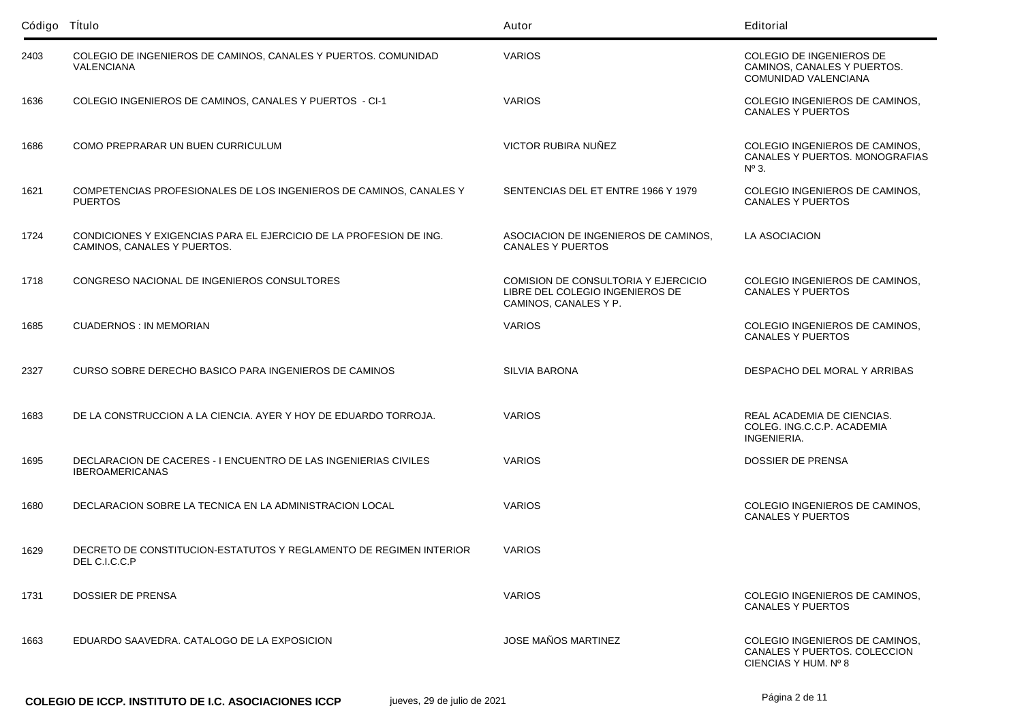| Código Título |                                                                                                   | Autor                                                                                           | Editorial                                                                              |
|---------------|---------------------------------------------------------------------------------------------------|-------------------------------------------------------------------------------------------------|----------------------------------------------------------------------------------------|
| 2403          | COLEGIO DE INGENIEROS DE CAMINOS, CANALES Y PUERTOS. COMUNIDAD<br><b>VALENCIANA</b>               | <b>VARIOS</b>                                                                                   | <b>COLEGIO DE INGENIEROS DE</b><br>CAMINOS, CANALES Y PUERTOS.<br>COMUNIDAD VALENCIANA |
| 1636          | COLEGIO INGENIEROS DE CAMINOS, CANALES Y PUERTOS - CI-1                                           | <b>VARIOS</b>                                                                                   | COLEGIO INGENIEROS DE CAMINOS,<br><b>CANALES Y PUERTOS</b>                             |
| 1686          | COMO PREPRARAR UN BUEN CURRICULUM                                                                 | VICTOR RUBIRA NUÑEZ                                                                             | COLEGIO INGENIEROS DE CAMINOS,<br>CANALES Y PUERTOS. MONOGRAFIAS<br>$N^{\circ}$ 3.     |
| 1621          | COMPETENCIAS PROFESIONALES DE LOS INGENIEROS DE CAMINOS, CANALES Y<br><b>PUERTOS</b>              | SENTENCIAS DEL ET ENTRE 1966 Y 1979                                                             | COLEGIO INGENIEROS DE CAMINOS,<br><b>CANALES Y PUERTOS</b>                             |
| 1724          | CONDICIONES Y EXIGENCIAS PARA EL EJERCICIO DE LA PROFESION DE ING.<br>CAMINOS, CANALES Y PUERTOS. | ASOCIACION DE INGENIEROS DE CAMINOS,<br><b>CANALES Y PUERTOS</b>                                | LA ASOCIACION                                                                          |
| 1718          | CONGRESO NACIONAL DE INGENIEROS CONSULTORES                                                       | COMISION DE CONSULTORIA Y EJERCICIO<br>LIBRE DEL COLEGIO INGENIEROS DE<br>CAMINOS, CANALES Y P. | COLEGIO INGENIEROS DE CAMINOS,<br><b>CANALES Y PUERTOS</b>                             |
| 1685          | <b>CUADERNOS: IN MEMORIAN</b>                                                                     | <b>VARIOS</b>                                                                                   | COLEGIO INGENIEROS DE CAMINOS.<br><b>CANALES Y PUERTOS</b>                             |
| 2327          | CURSO SOBRE DERECHO BASICO PARA INGENIEROS DE CAMINOS                                             | <b>SILVIA BARONA</b>                                                                            | DESPACHO DEL MORAL Y ARRIBAS                                                           |
| 1683          | DE LA CONSTRUCCION A LA CIENCIA. AYER Y HOY DE EDUARDO TORROJA.                                   | <b>VARIOS</b>                                                                                   | REAL ACADEMIA DE CIENCIAS.<br>COLEG. ING.C.C.P. ACADEMIA<br>INGENIERIA.                |
| 1695          | DECLARACION DE CACERES - I ENCUENTRO DE LAS INGENIERIAS CIVILES<br><b>IBEROAMERICANAS</b>         | <b>VARIOS</b>                                                                                   | DOSSIER DE PRENSA                                                                      |
| 1680          | DECLARACION SOBRE LA TECNICA EN LA ADMINISTRACION LOCAL                                           | <b>VARIOS</b>                                                                                   | COLEGIO INGENIEROS DE CAMINOS,<br><b>CANALES Y PUERTOS</b>                             |
| 1629          | DECRETO DE CONSTITUCION-ESTATUTOS Y REGLAMENTO DE REGIMEN INTERIOR<br>DEL C.I.C.C.P               | <b>VARIOS</b>                                                                                   |                                                                                        |
| 1731          | DOSSIER DE PRENSA                                                                                 | <b>VARIOS</b>                                                                                   | COLEGIO INGENIEROS DE CAMINOS,<br><b>CANALES Y PUERTOS</b>                             |
| 1663          | EDUARDO SAAVEDRA. CATALOGO DE LA EXPOSICION                                                       | <b>JOSE MAÑOS MARTINEZ</b>                                                                      | COLEGIO INGENIEROS DE CAMINOS,<br>CANALES Y PUERTOS. COLECCION<br>CIENCIAS Y HUM. Nº 8 |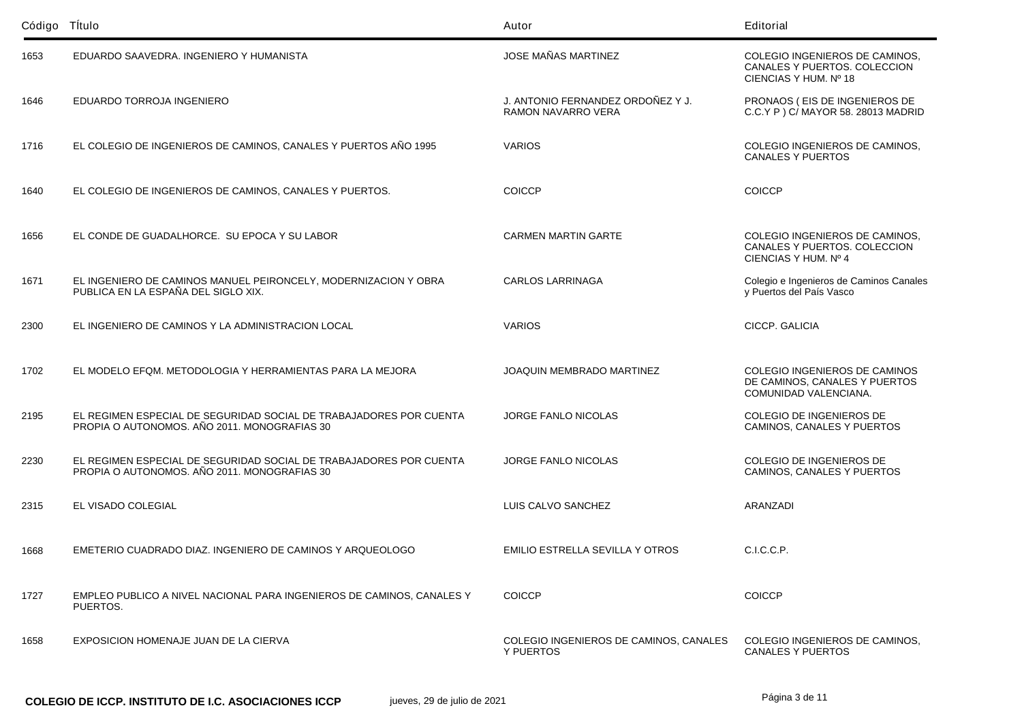| Código Título |                                                                                                                    | Autor                                                   | Editorial                                                                               |
|---------------|--------------------------------------------------------------------------------------------------------------------|---------------------------------------------------------|-----------------------------------------------------------------------------------------|
| 1653          | EDUARDO SAAVEDRA. INGENIERO Y HUMANISTA                                                                            | JOSE MAÑAS MARTINEZ                                     | COLEGIO INGENIEROS DE CAMINOS,<br>CANALES Y PUERTOS. COLECCION<br>CIENCIAS Y HUM. Nº 18 |
| 1646          | EDUARDO TORROJA INGENIERO                                                                                          | J. ANTONIO FERNANDEZ ORDOÑEZ Y J.<br>RAMON NAVARRO VERA | PRONAOS (EIS DE INGENIEROS DE<br>C.C.Y P ) C/ MAYOR 58. 28013 MADRID                    |
| 1716          | EL COLEGIO DE INGENIEROS DE CAMINOS, CANALES Y PUERTOS AÑO 1995                                                    | <b>VARIOS</b>                                           | COLEGIO INGENIEROS DE CAMINOS,<br><b>CANALES Y PUERTOS</b>                              |
| 1640          | EL COLEGIO DE INGENIEROS DE CAMINOS, CANALES Y PUERTOS.                                                            | <b>COICCP</b>                                           | <b>COICCP</b>                                                                           |
| 1656          | EL CONDE DE GUADALHORCE. SU EPOCA Y SU LABOR                                                                       | <b>CARMEN MARTIN GARTE</b>                              | COLEGIO INGENIEROS DE CAMINOS,<br>CANALES Y PUERTOS. COLECCION<br>CIENCIAS Y HUM. Nº 4  |
| 1671          | EL INGENIERO DE CAMINOS MANUEL PEIRONCELY, MODERNIZACION Y OBRA<br>PUBLICA EN LA ESPAÑA DEL SIGLO XIX.             | <b>CARLOS LARRINAGA</b>                                 | Colegio e Ingenieros de Caminos Canales<br>y Puertos del País Vasco                     |
| 2300          | EL INGENIERO DE CAMINOS Y LA ADMINISTRACION LOCAL                                                                  | <b>VARIOS</b>                                           | CICCP. GALICIA                                                                          |
| 1702          | EL MODELO EFQM. METODOLOGIA Y HERRAMIENTAS PARA LA MEJORA                                                          | <b>JOAQUIN MEMBRADO MARTINEZ</b>                        | COLEGIO INGENIEROS DE CAMINOS<br>DE CAMINOS, CANALES Y PUERTOS<br>COMUNIDAD VALENCIANA. |
| 2195          | EL REGIMEN ESPECIAL DE SEGURIDAD SOCIAL DE TRABAJADORES POR CUENTA<br>PROPIA O AUTONOMOS. AÑO 2011. MONOGRAFIAS 30 | <b>JORGE FANLO NICOLAS</b>                              | COLEGIO DE INGENIEROS DE<br>CAMINOS, CANALES Y PUERTOS                                  |
| 2230          | EL REGIMEN ESPECIAL DE SEGURIDAD SOCIAL DE TRABAJADORES POR CUENTA<br>PROPIA O AUTONOMOS, AÑO 2011, MONOGRAFIAS 30 | <b>JORGE FANLO NICOLAS</b>                              | COLEGIO DE INGENIEROS DE<br>CAMINOS, CANALES Y PUERTOS                                  |
| 2315          | EL VISADO COLEGIAL                                                                                                 | LUIS CALVO SANCHEZ                                      | <b>ARANZADI</b>                                                                         |
| 1668          | EMETERIO CUADRADO DIAZ. INGENIERO DE CAMINOS Y ARQUEOLOGO                                                          | EMILIO ESTRELLA SEVILLA Y OTROS                         | C.I.C.C.P.                                                                              |
| 1727          | EMPLEO PUBLICO A NIVEL NACIONAL PARA INGENIEROS DE CAMINOS, CANALES Y<br>PUERTOS.                                  | <b>COICCP</b>                                           | <b>COICCP</b>                                                                           |
| 1658          | EXPOSICION HOMENAJE JUAN DE LA CIERVA                                                                              | COLEGIO INGENIEROS DE CAMINOS, CANALES<br>Y PUERTOS     | COLEGIO INGENIEROS DE CAMINOS,<br><b>CANALES Y PUERTOS</b>                              |

Página 3 de 11 **COLEGIO DE ICCP. INSTITUTO DE I.C. ASOCIACIONES ICCP** jueves, 29 de julio de 2021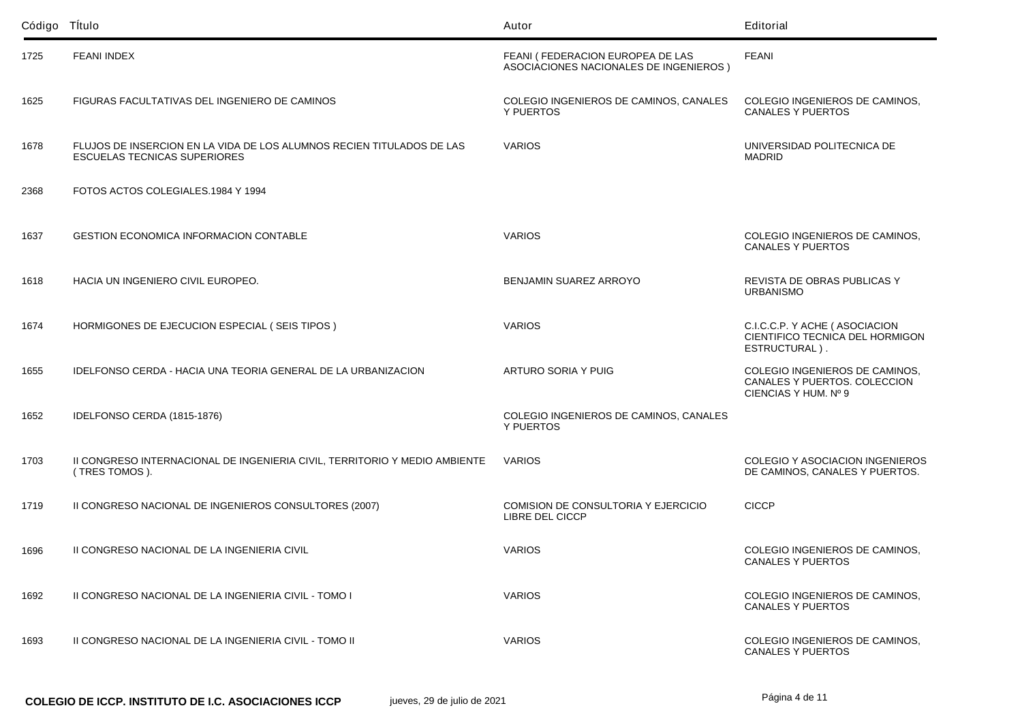| Código Título |                                                                                                              | Autor                                                                      | Editorial                                                                              |
|---------------|--------------------------------------------------------------------------------------------------------------|----------------------------------------------------------------------------|----------------------------------------------------------------------------------------|
| 1725          | <b>FEANI INDEX</b>                                                                                           | FEANI (FEDERACION EUROPEA DE LAS<br>ASOCIACIONES NACIONALES DE INGENIEROS) | <b>FEANI</b>                                                                           |
| 1625          | FIGURAS FACULTATIVAS DEL INGENIERO DE CAMINOS                                                                | COLEGIO INGENIEROS DE CAMINOS, CANALES<br>Y PUERTOS                        | COLEGIO INGENIEROS DE CAMINOS,<br><b>CANALES Y PUERTOS</b>                             |
| 1678          | FLUJOS DE INSERCION EN LA VIDA DE LOS ALUMNOS RECIEN TITULADOS DE LAS<br><b>ESCUELAS TECNICAS SUPERIORES</b> | <b>VARIOS</b>                                                              | UNIVERSIDAD POLITECNICA DE<br><b>MADRID</b>                                            |
| 2368          | FOTOS ACTOS COLEGIALES.1984 Y 1994                                                                           |                                                                            |                                                                                        |
| 1637          | <b>GESTION ECONOMICA INFORMACION CONTABLE</b>                                                                | <b>VARIOS</b>                                                              | COLEGIO INGENIEROS DE CAMINOS,<br><b>CANALES Y PUERTOS</b>                             |
| 1618          | HACIA UN INGENIERO CIVIL EUROPEO.                                                                            | BENJAMIN SUAREZ ARROYO                                                     | REVISTA DE OBRAS PUBLICAS Y<br><b>URBANISMO</b>                                        |
| 1674          | HORMIGONES DE EJECUCION ESPECIAL (SEIS TIPOS)                                                                | <b>VARIOS</b>                                                              | C.I.C.C.P. Y ACHE ( ASOCIACION<br>CIENTIFICO TECNICA DEL HORMIGON<br>ESTRUCTURAL).     |
| 1655          | IDELFONSO CERDA - HACIA UNA TEORIA GENERAL DE LA URBANIZACION                                                | ARTURO SORIA Y PUIG                                                        | COLEGIO INGENIEROS DE CAMINOS,<br>CANALES Y PUERTOS. COLECCION<br>CIENCIAS Y HUM. Nº 9 |
| 1652          | IDELFONSO CERDA (1815-1876)                                                                                  | COLEGIO INGENIEROS DE CAMINOS, CANALES<br>Y PUERTOS                        |                                                                                        |
| 1703          | II CONGRESO INTERNACIONAL DE INGENIERIA CIVIL, TERRITORIO Y MEDIO AMBIENTE<br>(TRES TOMOS).                  | <b>VARIOS</b>                                                              | <b>COLEGIO Y ASOCIACION INGENIEROS</b><br>DE CAMINOS, CANALES Y PUERTOS.               |
| 1719          | II CONGRESO NACIONAL DE INGENIEROS CONSULTORES (2007)                                                        | COMISION DE CONSULTORIA Y EJERCICIO<br>LIBRE DEL CICCP                     | <b>CICCP</b>                                                                           |
| 1696          | II CONGRESO NACIONAL DE LA INGENIERIA CIVIL                                                                  | <b>VARIOS</b>                                                              | COLEGIO INGENIEROS DE CAMINOS,<br>CANALES Y PUERTOS                                    |
| 1692          | II CONGRESO NACIONAL DE LA INGENIERIA CIVIL - TOMO I                                                         | <b>VARIOS</b>                                                              | COLEGIO INGENIEROS DE CAMINOS.<br><b>CANALES Y PUERTOS</b>                             |
| 1693          | II CONGRESO NACIONAL DE LA INGENIERIA CIVIL - TOMO II                                                        | <b>VARIOS</b>                                                              | COLEGIO INGENIEROS DE CAMINOS.<br><b>CANALES Y PUERTOS</b>                             |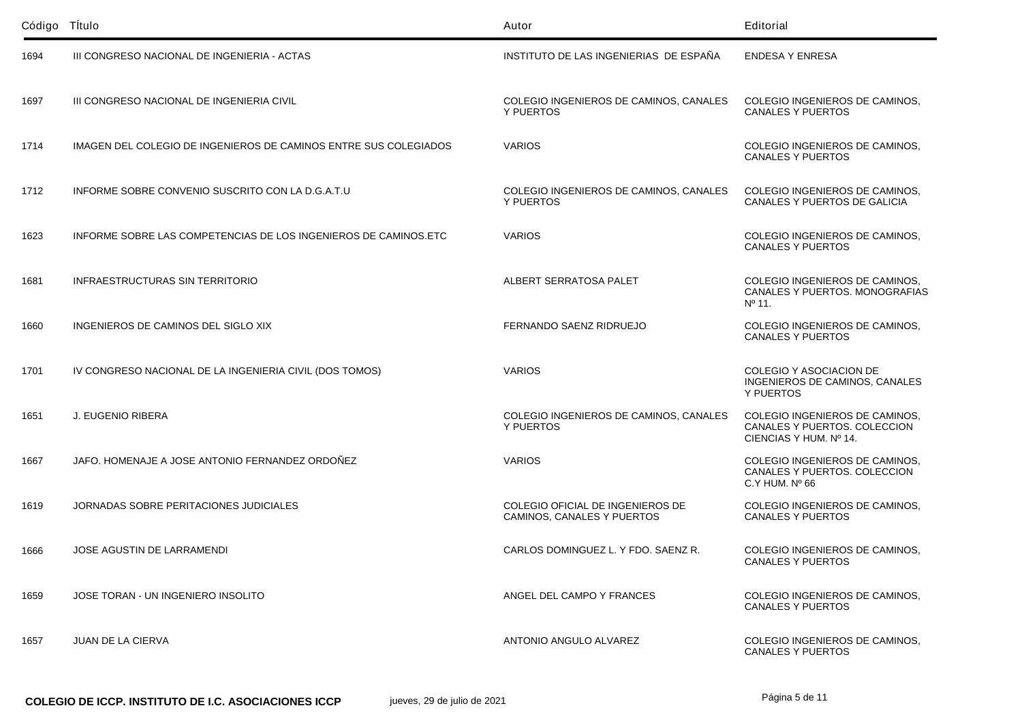| Código Título |                                                                  | Autor                                                          | Editorial                                                                                |
|---------------|------------------------------------------------------------------|----------------------------------------------------------------|------------------------------------------------------------------------------------------|
| 1694          | III CONGRESO NACIONAL DE INGENIERIA - ACTAS                      | INSTITUTO DE LAS INGENIERIAS DE ESPAÑA                         | <b>ENDESA Y ENRESA</b>                                                                   |
| 1697          | III CONGRESO NACIONAL DE INGENIERIA CIVIL                        | COLEGIO INGENIEROS DE CAMINOS, CANALES<br>Y PUERTOS            | COLEGIO INGENIEROS DE CAMINOS,<br><b>CANALES Y PUERTOS</b>                               |
| 1714          | IMAGEN DEL COLEGIO DE INGENIEROS DE CAMINOS ENTRE SUS COLEGIADOS | <b>VARIOS</b>                                                  | COLEGIO INGENIEROS DE CAMINOS,<br><b>CANALES Y PUERTOS</b>                               |
| 1712          | INFORME SOBRE CONVENIO SUSCRITO CON LA D.G.A.T.U                 | COLEGIO INGENIEROS DE CAMINOS, CANALES<br>Y PUERTOS            | COLEGIO INGENIEROS DE CAMINOS,<br>CANALES Y PUERTOS DE GALICIA                           |
| 1623          | INFORME SOBRE LAS COMPETENCIAS DE LOS INGENIEROS DE CAMINOS.ETC  | <b>VARIOS</b>                                                  | COLEGIO INGENIEROS DE CAMINOS,<br><b>CANALES Y PUERTOS</b>                               |
| 1681          | <b>INFRAESTRUCTURAS SIN TERRITORIO</b>                           | ALBERT SERRATOSA PALET                                         | COLEGIO INGENIEROS DE CAMINOS,<br>CANALES Y PUERTOS. MONOGRAFIAS<br>$N^{\circ}$ 11.      |
| 1660          | INGENIEROS DE CAMINOS DEL SIGLO XIX                              | FERNANDO SAENZ RIDRUEJO                                        | COLEGIO INGENIEROS DE CAMINOS.<br><b>CANALES Y PUERTOS</b>                               |
| 1701          | IV CONGRESO NACIONAL DE LA INGENIERIA CIVIL (DOS TOMOS)          | <b>VARIOS</b>                                                  | COLEGIO Y ASOCIACION DE<br>INGENIEROS DE CAMINOS, CANALES<br>Y PUERTOS                   |
| 1651          | J. EUGENIO RIBERA                                                | COLEGIO INGENIEROS DE CAMINOS, CANALES<br>Y PUERTOS            | COLEGIO INGENIEROS DE CAMINOS,<br>CANALES Y PUERTOS. COLECCION<br>CIENCIAS Y HUM. Nº 14. |
| 1667          | JAFO. HOMENAJE A JOSE ANTONIO FERNANDEZ ORDOÑEZ                  | <b>VARIOS</b>                                                  | COLEGIO INGENIEROS DE CAMINOS,<br>CANALES Y PUERTOS. COLECCION<br>$C.Y$ HUM. $N0$ 66     |
| 1619          | JORNADAS SOBRE PERITACIONES JUDICIALES                           | COLEGIO OFICIAL DE INGENIEROS DE<br>CAMINOS, CANALES Y PUERTOS | COLEGIO INGENIEROS DE CAMINOS,<br><b>CANALES Y PUERTOS</b>                               |
| 1666          | <b>JOSE AGUSTIN DE LARRAMENDI</b>                                | CARLOS DOMINGUEZ L. Y FDO. SAENZ R.                            | COLEGIO INGENIEROS DE CAMINOS,<br><b>CANALES Y PUERTOS</b>                               |
| 1659          | JOSE TORAN - UN INGENIERO INSOLITO                               | ANGEL DEL CAMPO Y FRANCES                                      | COLEGIO INGENIEROS DE CAMINOS,<br><b>CANALES Y PUERTOS</b>                               |
| 1657          | <b>JUAN DE LA CIERVA</b>                                         | ANTONIO ANGULO ALVAREZ                                         | COLEGIO INGENIEROS DE CAMINOS,<br><b>CANALES Y PUERTOS</b>                               |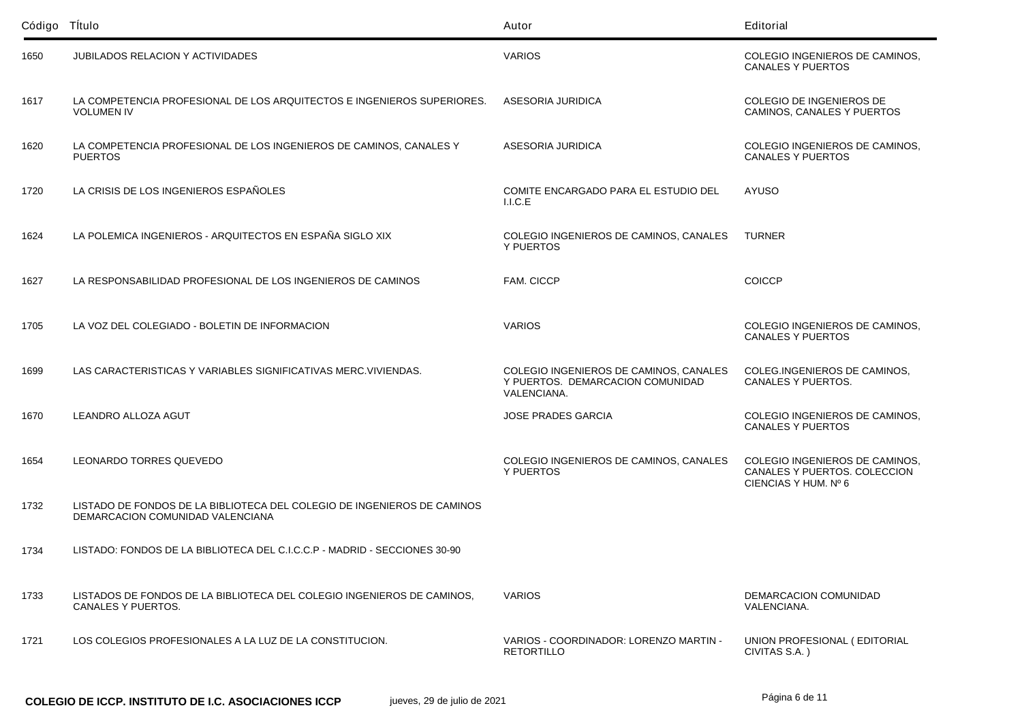| Código Título |                                                                                                             | Autor                                                                                     | Editorial                                                                              |
|---------------|-------------------------------------------------------------------------------------------------------------|-------------------------------------------------------------------------------------------|----------------------------------------------------------------------------------------|
| 1650          | <b>JUBILADOS RELACION Y ACTIVIDADES</b>                                                                     | <b>VARIOS</b>                                                                             | COLEGIO INGENIEROS DE CAMINOS,<br><b>CANALES Y PUERTOS</b>                             |
| 1617          | LA COMPETENCIA PROFESIONAL DE LOS ARQUITECTOS E INGENIEROS SUPERIORES.<br><b>VOLUMEN IV</b>                 | ASESORIA JURIDICA                                                                         | COLEGIO DE INGENIEROS DE<br>CAMINOS, CANALES Y PUERTOS                                 |
| 1620          | LA COMPETENCIA PROFESIONAL DE LOS INGENIEROS DE CAMINOS, CANALES Y<br><b>PUERTOS</b>                        | ASESORIA JURIDICA                                                                         | COLEGIO INGENIEROS DE CAMINOS,<br><b>CANALES Y PUERTOS</b>                             |
| 1720          | LA CRISIS DE LOS INGENIEROS ESPAÑOLES                                                                       | COMITE ENCARGADO PARA EL ESTUDIO DEL<br>I.I.C.E                                           | AYUSO                                                                                  |
| 1624          | LA POLEMICA INGENIEROS - ARQUITECTOS EN ESPAÑA SIGLO XIX                                                    | COLEGIO INGENIEROS DE CAMINOS, CANALES<br>Y PUERTOS                                       | <b>TURNER</b>                                                                          |
| 1627          | LA RESPONSABILIDAD PROFESIONAL DE LOS INGENIEROS DE CAMINOS                                                 | FAM. CICCP                                                                                | <b>COICCP</b>                                                                          |
| 1705          | LA VOZ DEL COLEGIADO - BOLETIN DE INFORMACION                                                               | <b>VARIOS</b>                                                                             | COLEGIO INGENIEROS DE CAMINOS,<br><b>CANALES Y PUERTOS</b>                             |
| 1699          | LAS CARACTERISTICAS Y VARIABLES SIGNIFICATIVAS MERC. VIVIENDAS.                                             | COLEGIO INGENIEROS DE CAMINOS, CANALES<br>Y PUERTOS. DEMARCACION COMUNIDAD<br>VALENCIANA. | COLEG.INGENIEROS DE CAMINOS,<br>CANALES Y PUERTOS.                                     |
| 1670          | LEANDRO ALLOZA AGUT                                                                                         | <b>JOSE PRADES GARCIA</b>                                                                 | COLEGIO INGENIEROS DE CAMINOS,<br><b>CANALES Y PUERTOS</b>                             |
| 1654          | LEONARDO TORRES QUEVEDO                                                                                     | COLEGIO INGENIEROS DE CAMINOS, CANALES<br>Y PUERTOS                                       | COLEGIO INGENIEROS DE CAMINOS,<br>CANALES Y PUERTOS. COLECCION<br>CIENCIAS Y HUM. Nº 6 |
| 1732          | LISTADO DE FONDOS DE LA BIBLIOTECA DEL COLEGIO DE INGENIEROS DE CAMINOS<br>DEMARCACION COMUNIDAD VALENCIANA |                                                                                           |                                                                                        |
| 1734          | LISTADO: FONDOS DE LA BIBLIOTECA DEL C.I.C.C.P - MADRID - SECCIONES 30-90                                   |                                                                                           |                                                                                        |
| 1733          | LISTADOS DE FONDOS DE LA BIBLIOTECA DEL COLEGIO INGENIEROS DE CAMINOS.<br>CANALES Y PUERTOS.                | <b>VARIOS</b>                                                                             | DEMARCACION COMUNIDAD<br>VALENCIANA.                                                   |
| 1721          | LOS COLEGIOS PROFESIONALES A LA LUZ DE LA CONSTITUCION.                                                     | VARIOS - COORDINADOR: LORENZO MARTIN -<br><b>RETORTILLO</b>                               | UNION PROFESIONAL (EDITORIAL<br>CIVITAS S.A.)                                          |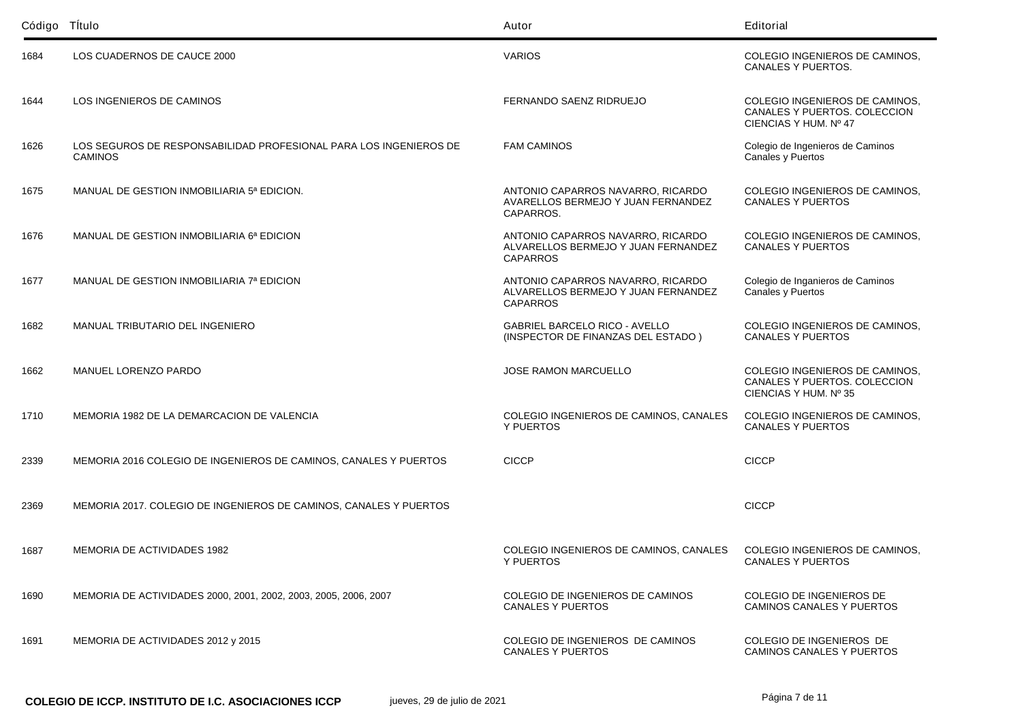| Código Título |                                                                                     | Autor                                                                                       | Editorial                                                                               |
|---------------|-------------------------------------------------------------------------------------|---------------------------------------------------------------------------------------------|-----------------------------------------------------------------------------------------|
| 1684          | LOS CUADERNOS DE CAUCE 2000                                                         | <b>VARIOS</b>                                                                               | COLEGIO INGENIEROS DE CAMINOS,<br>CANALES Y PUERTOS.                                    |
| 1644          | LOS INGENIEROS DE CAMINOS                                                           | FERNANDO SAENZ RIDRUEJO                                                                     | COLEGIO INGENIEROS DE CAMINOS,<br>CANALES Y PUERTOS. COLECCION<br>CIENCIAS Y HUM. Nº 47 |
| 1626          | LOS SEGUROS DE RESPONSABILIDAD PROFESIONAL PARA LOS INGENIEROS DE<br><b>CAMINOS</b> | <b>FAM CAMINOS</b>                                                                          | Colegio de Ingenieros de Caminos<br>Canales y Puertos                                   |
| 1675          | MANUAL DE GESTION INMOBILIARIA 5ª EDICION.                                          | ANTONIO CAPARROS NAVARRO, RICARDO<br>AVARELLOS BERMEJO Y JUAN FERNANDEZ<br>CAPARROS.        | COLEGIO INGENIEROS DE CAMINOS,<br><b>CANALES Y PUERTOS</b>                              |
| 1676          | MANUAL DE GESTION INMOBILIARIA 6ª EDICION                                           | ANTONIO CAPARROS NAVARRO, RICARDO<br>ALVARELLOS BERMEJO Y JUAN FERNANDEZ<br><b>CAPARROS</b> | COLEGIO INGENIEROS DE CAMINOS,<br><b>CANALES Y PUERTOS</b>                              |
| 1677          | MANUAL DE GESTION INMOBILIARIA 7ª EDICION                                           | ANTONIO CAPARROS NAVARRO, RICARDO<br>ALVARELLOS BERMEJO Y JUAN FERNANDEZ<br><b>CAPARROS</b> | Colegio de Inganieros de Caminos<br>Canales y Puertos                                   |
| 1682          | MANUAL TRIBUTARIO DEL INGENIERO                                                     | <b>GABRIEL BARCELO RICO - AVELLO</b><br>(INSPECTOR DE FINANZAS DEL ESTADO)                  | COLEGIO INGENIEROS DE CAMINOS,<br><b>CANALES Y PUERTOS</b>                              |
| 1662          | MANUEL LORENZO PARDO                                                                | <b>JOSE RAMON MARCUELLO</b>                                                                 | COLEGIO INGENIEROS DE CAMINOS,<br>CANALES Y PUERTOS. COLECCION<br>CIENCIAS Y HUM. Nº 35 |
| 1710          | MEMORIA 1982 DE LA DEMARCACION DE VALENCIA                                          | COLEGIO INGENIEROS DE CAMINOS, CANALES<br>Y PUERTOS                                         | COLEGIO INGENIEROS DE CAMINOS,<br><b>CANALES Y PUERTOS</b>                              |
| 2339          | MEMORIA 2016 COLEGIO DE INGENIEROS DE CAMINOS, CANALES Y PUERTOS                    | <b>CICCP</b>                                                                                | <b>CICCP</b>                                                                            |
| 2369          | MEMORIA 2017. COLEGIO DE INGENIEROS DE CAMINOS, CANALES Y PUERTOS                   |                                                                                             | <b>CICCP</b>                                                                            |
| 1687          | <b>MEMORIA DE ACTIVIDADES 1982</b>                                                  | COLEGIO INGENIEROS DE CAMINOS, CANALES<br>Y PUERTOS                                         | COLEGIO INGENIEROS DE CAMINOS,<br><b>CANALES Y PUERTOS</b>                              |
| 1690          | MEMORIA DE ACTIVIDADES 2000, 2001, 2002, 2003, 2005, 2006, 2007                     | COLEGIO DE INGENIEROS DE CAMINOS<br><b>CANALES Y PUERTOS</b>                                | COLEGIO DE INGENIEROS DE<br>CAMINOS CANALES Y PUERTOS                                   |
| 1691          | MEMORIA DE ACTIVIDADES 2012 y 2015                                                  | COLEGIO DE INGENIEROS DE CAMINOS<br><b>CANALES Y PUERTOS</b>                                | COLEGIO DE INGENIEROS DE<br>CAMINOS CANALES Y PUERTOS                                   |

Página 7 de 11 **COLEGIO DE ICCP. INSTITUTO DE I.C. ASOCIACIONES ICCP** jueves, 29 de julio de 2021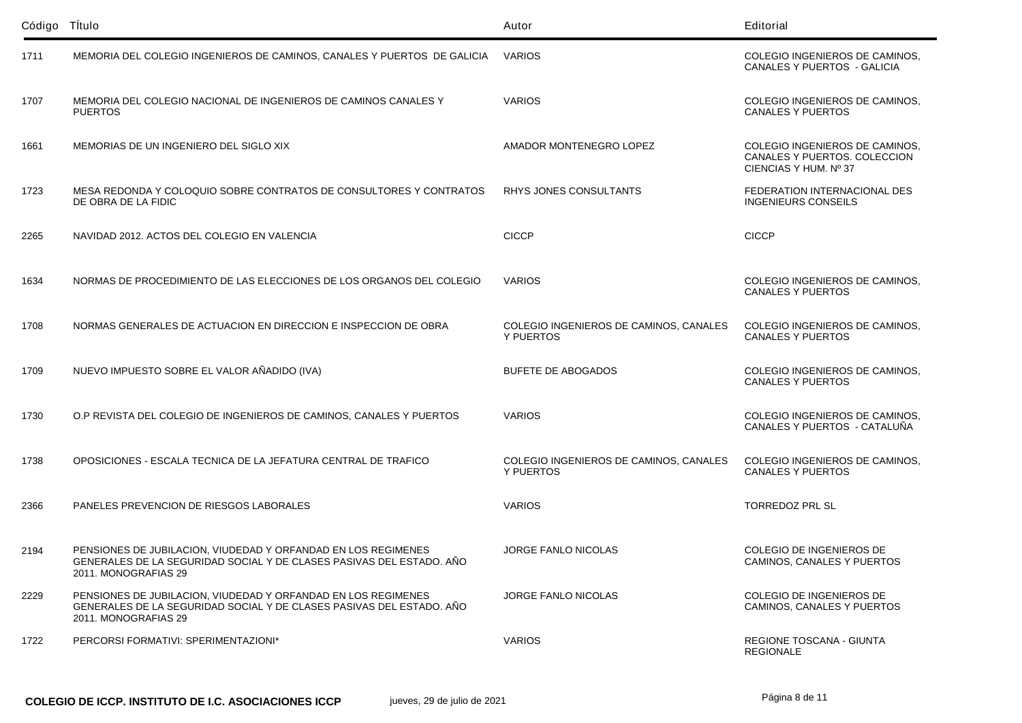| Código Título |                                                                                                                                                               | Autor                                               | Editorial                                                                               |
|---------------|---------------------------------------------------------------------------------------------------------------------------------------------------------------|-----------------------------------------------------|-----------------------------------------------------------------------------------------|
| 1711          | MEMORIA DEL COLEGIO INGENIEROS DE CAMINOS, CANALES Y PUERTOS DE GALICIA VARIOS                                                                                |                                                     | COLEGIO INGENIEROS DE CAMINOS,<br><b>CANALES Y PUERTOS - GALICIA</b>                    |
| 1707          | MEMORIA DEL COLEGIO NACIONAL DE INGENIEROS DE CAMINOS CANALES Y<br><b>PUERTOS</b>                                                                             | <b>VARIOS</b>                                       | COLEGIO INGENIEROS DE CAMINOS,<br><b>CANALES Y PUERTOS</b>                              |
| 1661          | MEMORIAS DE UN INGENIERO DEL SIGLO XIX                                                                                                                        | AMADOR MONTENEGRO LOPEZ                             | COLEGIO INGENIEROS DE CAMINOS,<br>CANALES Y PUERTOS. COLECCION<br>CIENCIAS Y HUM. Nº 37 |
| 1723          | MESA REDONDA Y COLOQUIO SOBRE CONTRATOS DE CONSULTORES Y CONTRATOS<br>DE OBRA DE LA FIDIC                                                                     | RHYS JONES CONSULTANTS                              | FEDERATION INTERNACIONAL DES<br><b>INGENIEURS CONSEILS</b>                              |
| 2265          | NAVIDAD 2012. ACTOS DEL COLEGIO EN VALENCIA                                                                                                                   | <b>CICCP</b>                                        | <b>CICCP</b>                                                                            |
| 1634          | NORMAS DE PROCEDIMIENTO DE LAS ELECCIONES DE LOS ORGANOS DEL COLEGIO                                                                                          | <b>VARIOS</b>                                       | COLEGIO INGENIEROS DE CAMINOS.<br><b>CANALES Y PUERTOS</b>                              |
| 1708          | NORMAS GENERALES DE ACTUACION EN DIRECCION E INSPECCION DE OBRA                                                                                               | COLEGIO INGENIEROS DE CAMINOS, CANALES<br>Y PUERTOS | COLEGIO INGENIEROS DE CAMINOS.<br><b>CANALES Y PUERTOS</b>                              |
| 1709          | NUEVO IMPUESTO SOBRE EL VALOR AÑADIDO (IVA)                                                                                                                   | <b>BUFETE DE ABOGADOS</b>                           | COLEGIO INGENIEROS DE CAMINOS,<br><b>CANALES Y PUERTOS</b>                              |
| 1730          | O.P REVISTA DEL COLEGIO DE INGENIEROS DE CAMINOS, CANALES Y PUERTOS                                                                                           | <b>VARIOS</b>                                       | COLEGIO INGENIEROS DE CAMINOS,<br>CANALES Y PUERTOS - CATALUÑA                          |
| 1738          | OPOSICIONES - ESCALA TECNICA DE LA JEFATURA CENTRAL DE TRAFICO                                                                                                | COLEGIO INGENIEROS DE CAMINOS, CANALES<br>Y PUERTOS | COLEGIO INGENIEROS DE CAMINOS,<br><b>CANALES Y PUERTOS</b>                              |
| 2366          | PANELES PREVENCION DE RIESGOS LABORALES                                                                                                                       | <b>VARIOS</b>                                       | <b>TORREDOZ PRL SL</b>                                                                  |
| 2194          | PENSIONES DE JUBILACION, VIUDEDAD Y ORFANDAD EN LOS REGIMENES<br>GENERALES DE LA SEGURIDAD SOCIAL Y DE CLASES PASIVAS DEL ESTADO. AÑO<br>2011. MONOGRAFIAS 29 | <b>JORGE FANLO NICOLAS</b>                          | COLEGIO DE INGENIEROS DE<br>CAMINOS, CANALES Y PUERTOS                                  |
| 2229          | PENSIONES DE JUBILACION. VIUDEDAD Y ORFANDAD EN LOS REGIMENES<br>GENERALES DE LA SEGURIDAD SOCIAL Y DE CLASES PASIVAS DEL ESTADO. AÑO<br>2011. MONOGRAFIAS 29 | <b>JORGE FANLO NICOLAS</b>                          | COLEGIO DE INGENIEROS DE<br>CAMINOS, CANALES Y PUERTOS                                  |
| 1722          | PERCORSI FORMATIVI: SPERIMENTAZIONI*                                                                                                                          | <b>VARIOS</b>                                       | <b>REGIONE TOSCANA - GIUNTA</b><br><b>REGIONALE</b>                                     |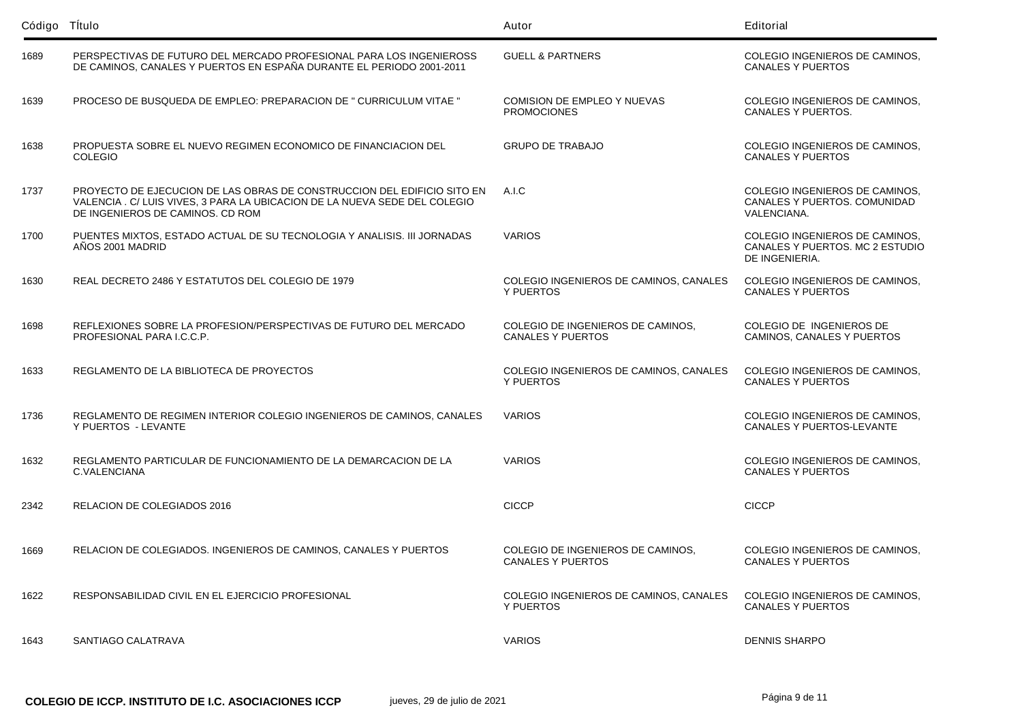| Código Título |                                                                                                                                                                                           | Autor                                                         | Editorial                                                                           |
|---------------|-------------------------------------------------------------------------------------------------------------------------------------------------------------------------------------------|---------------------------------------------------------------|-------------------------------------------------------------------------------------|
| 1689          | PERSPECTIVAS DE FUTURO DEL MERCADO PROFESIONAL PARA LOS INGENIEROSS<br>DE CAMINOS, CANALES Y PUERTOS EN ESPAÑA DURANTE EL PERIODO 2001-2011                                               | <b>GUELL &amp; PARTNERS</b>                                   | COLEGIO INGENIEROS DE CAMINOS.<br><b>CANALES Y PUERTOS</b>                          |
| 1639          | PROCESO DE BUSQUEDA DE EMPLEO: PREPARACION DE " CURRICULUM VITAE "                                                                                                                        | COMISION DE EMPLEO Y NUEVAS<br><b>PROMOCIONES</b>             | COLEGIO INGENIEROS DE CAMINOS,<br><b>CANALES Y PUERTOS.</b>                         |
| 1638          | PROPUESTA SOBRE EL NUEVO REGIMEN ECONOMICO DE FINANCIACION DEL<br><b>COLEGIO</b>                                                                                                          | <b>GRUPO DE TRABAJO</b>                                       | COLEGIO INGENIEROS DE CAMINOS,<br><b>CANALES Y PUERTOS</b>                          |
| 1737          | PROYECTO DE EJECUCION DE LAS OBRAS DE CONSTRUCCION DEL EDIFICIO SITO EN<br>VALENCIA . C/ LUIS VIVES, 3 PARA LA UBICACION DE LA NUEVA SEDE DEL COLEGIO<br>DE INGENIEROS DE CAMINOS, CD ROM | A.I.C                                                         | COLEGIO INGENIEROS DE CAMINOS.<br>CANALES Y PUERTOS. COMUNIDAD<br>VALENCIANA.       |
| 1700          | PUENTES MIXTOS, ESTADO ACTUAL DE SU TECNOLOGIA Y ANALISIS. III JORNADAS<br>AÑOS 2001 MADRID                                                                                               | <b>VARIOS</b>                                                 | COLEGIO INGENIEROS DE CAMINOS,<br>CANALES Y PUERTOS. MC 2 ESTUDIO<br>DE INGENIERIA. |
| 1630          | REAL DECRETO 2486 Y ESTATUTOS DEL COLEGIO DE 1979                                                                                                                                         | COLEGIO INGENIEROS DE CAMINOS, CANALES<br>Y PUERTOS           | COLEGIO INGENIEROS DE CAMINOS,<br>CANALES Y PUERTOS                                 |
| 1698          | REFLEXIONES SOBRE LA PROFESION/PERSPECTIVAS DE FUTURO DEL MERCADO<br>PROFESIONAL PARA I.C.C.P.                                                                                            | COLEGIO DE INGENIEROS DE CAMINOS,<br><b>CANALES Y PUERTOS</b> | COLEGIO DE INGENIEROS DE<br>CAMINOS, CANALES Y PUERTOS                              |
| 1633          | REGLAMENTO DE LA BIBLIOTECA DE PROYECTOS                                                                                                                                                  | COLEGIO INGENIEROS DE CAMINOS, CANALES<br>Y PUERTOS           | COLEGIO INGENIEROS DE CAMINOS.<br><b>CANALES Y PUERTOS</b>                          |
| 1736          | REGLAMENTO DE REGIMEN INTERIOR COLEGIO INGENIEROS DE CAMINOS, CANALES<br>Y PUERTOS - LEVANTE                                                                                              | <b>VARIOS</b>                                                 | COLEGIO INGENIEROS DE CAMINOS,<br>CANALES Y PUERTOS-LEVANTE                         |
| 1632          | REGLAMENTO PARTICULAR DE FUNCIONAMIENTO DE LA DEMARCACION DE LA<br>C.VALENCIANA                                                                                                           | <b>VARIOS</b>                                                 | COLEGIO INGENIEROS DE CAMINOS,<br><b>CANALES Y PUERTOS</b>                          |
| 2342          | <b>RELACION DE COLEGIADOS 2016</b>                                                                                                                                                        | <b>CICCP</b>                                                  | <b>CICCP</b>                                                                        |
| 1669          | RELACION DE COLEGIADOS. INGENIEROS DE CAMINOS. CANALES Y PUERTOS                                                                                                                          | COLEGIO DE INGENIEROS DE CAMINOS,<br>CANALES Y PUERTOS        | COLEGIO INGENIEROS DE CAMINOS.<br>CANALES Y PUERTOS                                 |
| 1622          | RESPONSABILIDAD CIVIL EN EL EJERCICIO PROFESIONAL                                                                                                                                         | COLEGIO INGENIEROS DE CAMINOS, CANALES<br>Y PUERTOS           | COLEGIO INGENIEROS DE CAMINOS,<br>CANALES Y PUERTOS                                 |
| 1643          | SANTIAGO CALATRAVA                                                                                                                                                                        | <b>VARIOS</b>                                                 | <b>DENNIS SHARPO</b>                                                                |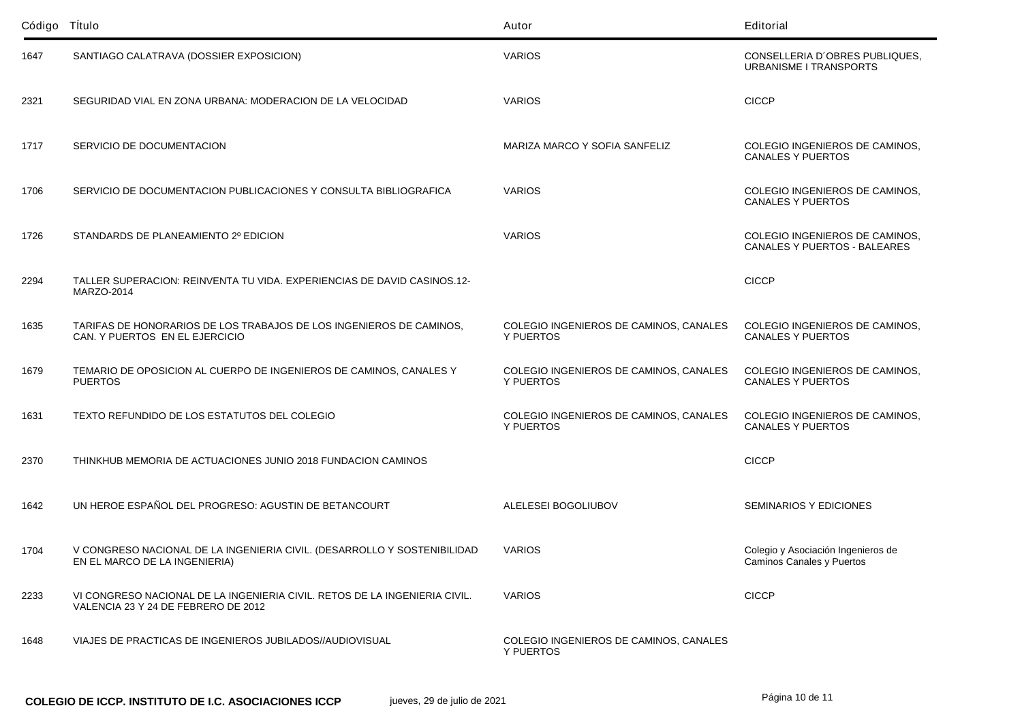| Código Título |                                                                                                                   | Autor                                               | Editorial                                                             |
|---------------|-------------------------------------------------------------------------------------------------------------------|-----------------------------------------------------|-----------------------------------------------------------------------|
| 1647          | SANTIAGO CALATRAVA (DOSSIER EXPOSICION)                                                                           | <b>VARIOS</b>                                       | CONSELLERIA D'OBRES PUBLIQUES,<br><b>URBANISME I TRANSPORTS</b>       |
| 2321          | SEGURIDAD VIAL EN ZONA URBANA: MODERACION DE LA VELOCIDAD                                                         | <b>VARIOS</b>                                       | <b>CICCP</b>                                                          |
| 1717          | SERVICIO DE DOCUMENTACION                                                                                         | MARIZA MARCO Y SOFIA SANFELIZ                       | COLEGIO INGENIEROS DE CAMINOS,<br><b>CANALES Y PUERTOS</b>            |
| 1706          | SERVICIO DE DOCUMENTACION PUBLICACIONES Y CONSULTA BIBLIOGRAFICA                                                  | <b>VARIOS</b>                                       | COLEGIO INGENIEROS DE CAMINOS,<br><b>CANALES Y PUERTOS</b>            |
| 1726          | STANDARDS DE PLANEAMIENTO 2º EDICION                                                                              | <b>VARIOS</b>                                       | COLEGIO INGENIEROS DE CAMINOS,<br><b>CANALES Y PUERTOS - BALEARES</b> |
| 2294          | TALLER SUPERACION: REINVENTA TU VIDA, EXPERIENCIAS DE DAVID CASINOS.12-<br><b>MARZO-2014</b>                      |                                                     | <b>CICCP</b>                                                          |
| 1635          | TARIFAS DE HONORARIOS DE LOS TRABAJOS DE LOS INGENIEROS DE CAMINOS,<br>CAN. Y PUERTOS EN EL EJERCICIO             | COLEGIO INGENIEROS DE CAMINOS, CANALES<br>Y PUERTOS | COLEGIO INGENIEROS DE CAMINOS,<br><b>CANALES Y PUERTOS</b>            |
| 1679          | TEMARIO DE OPOSICION AL CUERPO DE INGENIEROS DE CAMINOS, CANALES Y<br><b>PUERTOS</b>                              | COLEGIO INGENIEROS DE CAMINOS, CANALES<br>Y PUERTOS | COLEGIO INGENIEROS DE CAMINOS,<br><b>CANALES Y PUERTOS</b>            |
| 1631          | TEXTO REFUNDIDO DE LOS ESTATUTOS DEL COLEGIO                                                                      | COLEGIO INGENIEROS DE CAMINOS, CANALES<br>Y PUERTOS | COLEGIO INGENIEROS DE CAMINOS,<br><b>CANALES Y PUERTOS</b>            |
| 2370          | THINKHUB MEMORIA DE ACTUACIONES JUNIO 2018 FUNDACION CAMINOS                                                      |                                                     | <b>CICCP</b>                                                          |
| 1642          | UN HEROE ESPAÑOL DEL PROGRESO: AGUSTIN DE BETANCOURT                                                              | ALELESEI BOGOLIUBOV                                 | <b>SEMINARIOS Y EDICIONES</b>                                         |
| 1704          | V CONGRESO NACIONAL DE LA INGENIERIA CIVIL. (DESARROLLO Y SOSTENIBILIDAD<br>EN EL MARCO DE LA INGENIERIA)         | <b>VARIOS</b>                                       | Colegio y Asociación Ingenieros de<br>Caminos Canales y Puertos       |
| 2233          | VI CONGRESO NACIONAL DE LA INGENIERIA CIVIL. RETOS DE LA INGENIERIA CIVIL.<br>VALENCIA 23 Y 24 DE FEBRERO DE 2012 | <b>VARIOS</b>                                       | <b>CICCP</b>                                                          |
| 1648          | VIAJES DE PRACTICAS DE INGENIEROS JUBILADOS//AUDIOVISUAL                                                          | COLEGIO INGENIEROS DE CAMINOS, CANALES<br>Y PUERTOS |                                                                       |